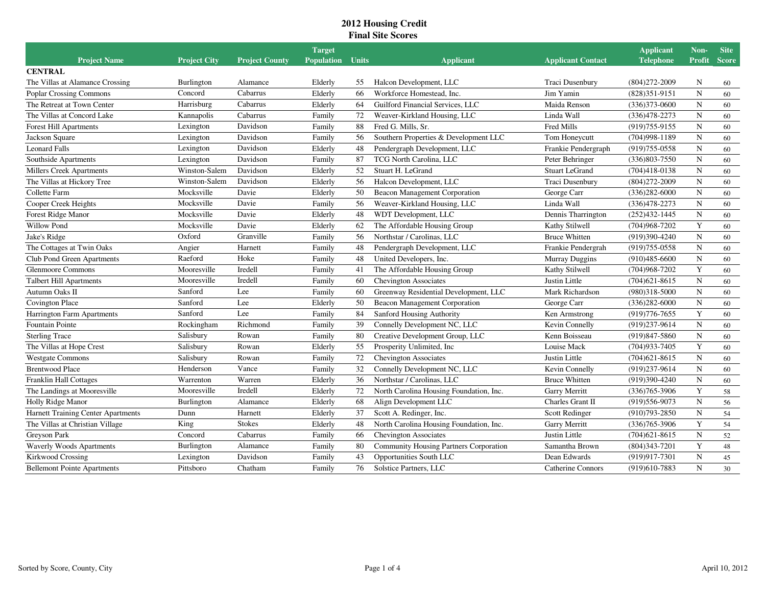|                                           |                     |                       | <b>Target</b>     |              |                                               |                          | <b>Applicant</b>  | Non-          | <b>Site</b>  |
|-------------------------------------------|---------------------|-----------------------|-------------------|--------------|-----------------------------------------------|--------------------------|-------------------|---------------|--------------|
| <b>Project Name</b>                       | <b>Project City</b> | <b>Project County</b> | <b>Population</b> | <b>Units</b> | <b>Applicant</b>                              | <b>Applicant Contact</b> | <b>Telephone</b>  | <b>Profit</b> | <b>Score</b> |
| <b>CENTRAL</b>                            |                     |                       |                   |              |                                               |                          |                   |               |              |
| The Villas at Alamance Crossing           | <b>Burlington</b>   | Alamance              | Elderly           | 55           | Halcon Development, LLC                       | Traci Dusenbury          | $(804)272 - 2009$ | N             | 60           |
| <b>Poplar Crossing Commons</b>            | Concord             | Cabarrus              | Elderly           | 66           | Workforce Homestead, Inc.                     | Jim Yamin                | $(828)351-9151$   | N             | 60           |
| The Retreat at Town Center                | Harrisburg          | Cabarrus              | Elderly           | 64           | Guilford Financial Services, LLC              | Maida Renson             | $(336)373 - 0600$ | N             | 60           |
| The Villas at Concord Lake                | Kannapolis          | Cabarrus              | Family            | 72           | Weaver-Kirkland Housing, LLC                  | Linda Wall               | $(336)478 - 2273$ | N             | 60           |
| <b>Forest Hill Apartments</b>             | Lexington           | Davidson              | Family            | 88           | Fred G. Mills, Sr.                            | Fred Mills               | $(919)755-9155$   | ${\bf N}$     | 60           |
| Jackson Square                            | Lexington           | Davidson              | Family            | 56           | Southern Properties & Development LLC         | Tom Honeycutt            | $(704)998 - 1189$ | ${\bf N}$     | 60           |
| <b>Leonard Falls</b>                      | Lexington           | Davidson              | Elderly           | 48           | Pendergraph Development, LLC                  | Frankie Pendergraph      | $(919)755-0558$   | N             | 60           |
| Southside Apartments                      | Lexington           | Davidson              | Family            | 87           | TCG North Carolina, LLC                       | Peter Behringer          | $(336)803 - 7550$ | N             | 60           |
| <b>Millers Creek Apartments</b>           | Winston-Salem       | Davidson              | Elderly           | 52           | Stuart H. LeGrand                             | <b>Stuart LeGrand</b>    | $(704)418-0138$   | $\mathbf N$   | 60           |
| The Villas at Hickory Tree                | Winston-Salem       | Davidson              | Elderly           | 56           | Halcon Development, LLC                       | Traci Dusenbury          | $(804)272 - 2009$ | ${\bf N}$     | 60           |
| Collette Farm                             | Mocksville          | Davie                 | Elderly           | 50           | Beacon Management Corporation                 | George Carr              | $(336)282 - 6000$ | ${\bf N}$     | 60           |
| Cooper Creek Heights                      | Mocksville          | Davie                 | Family            | 56           | Weaver-Kirkland Housing, LLC                  | Linda Wall               | $(336)478 - 2273$ | $\mathbf N$   | 60           |
| Forest Ridge Manor                        | Mocksville          | Davie                 | Elderly           | 48           | WDT Development, LLC                          | Dennis Tharrington       | $(252)432 - 1445$ | N             | 60           |
| <b>Willow Pond</b>                        | Mocksville          | Davie                 | Elderly           | 62           | The Affordable Housing Group                  | Kathy Stilwell           | $(704)968 - 7202$ | Y             | 60           |
| Jake's Ridge                              | Oxford              | Granville             | Family            | 56           | Northstar / Carolinas, LLC                    | <b>Bruce Whitten</b>     | $(919)390 - 4240$ | ${\bf N}$     | 60           |
| The Cottages at Twin Oaks                 | Angier              | Harnett               | Family            | 48           | Pendergraph Development, LLC                  | Frankie Pendergrah       | $(919)755 - 0558$ | $\mathbf N$   | 60           |
| Club Pond Green Apartments                | Raeford             | Hoke                  | Family            | 48           | United Developers, Inc.                       | <b>Murray Duggins</b>    | $(910)485 - 6600$ | ${\bf N}$     | 60           |
| <b>Glenmoore Commons</b>                  | Mooresville         | Iredell               | Family            | 41           | The Affordable Housing Group                  | Kathy Stilwell           | $(704)968 - 7202$ | Y             | 60           |
| <b>Talbert Hill Apartments</b>            | Mooresville         | Iredell               | Family            | 60           | <b>Chevington Associates</b>                  | Justin Little            | $(704)621 - 8615$ | ${\bf N}$     | 60           |
| Autumn Oaks II                            | Sanford             | Lee                   | Family            | 60           | Greenway Residential Development, LLC         | Mark Richardson          | $(980)318 - 5000$ | ${\bf N}$     | 60           |
| <b>Covington Place</b>                    | Sanford             | Lee                   | Elderly           | 50           | Beacon Management Corporation                 | George Carr              | $(336)282 - 6000$ | ${\bf N}$     | 60           |
| Harrington Farm Apartments                | Sanford             | Lee                   | Family            | 84           | Sanford Housing Authority                     | Ken Armstrong            | $(919)776 - 7655$ | Y             | 60           |
| Fountain Pointe                           | Rockingham          | Richmond              | Family            | 39           | Connelly Development NC, LLC                  | Kevin Connelly           | (919)237-9614     | ${\bf N}$     | 60           |
| <b>Sterling Trace</b>                     | Salisbury           | Rowan                 | Family            | 80           | Creative Development Group, LLC               | Kenn Boisseau            | $(919)847 - 5860$ | ${\bf N}$     | 60           |
| The Villas at Hope Crest                  | Salisbury           | Rowan                 | Elderly           | 55           | Prosperity Unlimited, Inc.                    | Louise Mack              | $(704)933 - 7405$ | Y             | 60           |
| <b>Westgate Commons</b>                   | Salisbury           | Rowan                 | Family            | 72           | <b>Chevington Associates</b>                  | Justin Little            | $(704)621 - 8615$ | N             | 60           |
| <b>Brentwood Place</b>                    | Henderson           | Vance                 | Family            | 32           | Connelly Development NC, LLC                  | Kevin Connelly           | (919)237-9614     | N             | 60           |
| Franklin Hall Cottages                    | Warrenton           | Warren                | Elderly           | 36           | Northstar / Carolinas, LLC                    | <b>Bruce Whitten</b>     | $(919)390-4240$   | $\mathbf N$   | 60           |
| The Landings at Mooresville               | Mooresville         | Iredell               | Elderly           | 72           | North Carolina Housing Foundation, Inc.       | <b>Garry Merritt</b>     | $(336)765 - 3906$ | Y             | 58           |
| Holly Ridge Manor                         | Burlington          | Alamance              | Elderly           | 68           | Align Development LLC                         | Charles Grant II         | (919) 556-9073    | ${\bf N}$     | 56           |
| <b>Harnett Training Center Apartments</b> | Dunn                | Harnett               | Elderly           | 37           | Scott A. Redinger, Inc.                       | Scott Redinger           | $(910)793 - 2850$ | $\mathbf N$   | 54           |
| The Villas at Christian Village           | King                | <b>Stokes</b>         | Elderly           | 48           | North Carolina Housing Foundation, Inc.       | Garry Merritt            | $(336)765 - 3906$ | Y             | 54           |
| Greyson Park                              | Concord             | Cabarrus              | Family            | 66           | <b>Chevington Associates</b>                  | Justin Little            | $(704)621 - 8615$ | $\mathbf N$   | 52           |
| <b>Waverly Woods Apartments</b>           | Burlington          | Alamance              | Family            | 80           | <b>Community Housing Partners Corporation</b> | Samantha Brown           | $(804)343 - 7201$ | Y             | 48           |
| Kirkwood Crossing                         | Lexington           | Davidson              | Family            | 43           | Opportunities South LLC                       | Dean Edwards             | (919)917-7301     | ${\bf N}$     | 45           |
| <b>Bellemont Pointe Apartments</b>        | Pittsboro           | Chatham               | Family            | 76           | Solstice Partners, LLC                        | <b>Catherine Connors</b> | (919)610-7883     | $\mathbf N$   | 30           |
|                                           |                     |                       |                   |              |                                               |                          |                   |               |              |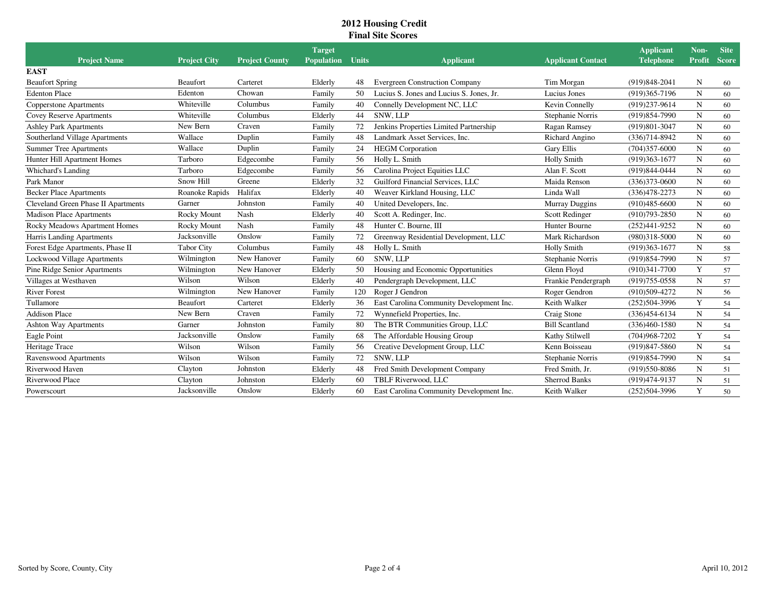| <b>Project Name</b>                 | <b>Project City</b> | <b>Project County</b> | <b>Target</b><br><b>Population</b> | <b>Units</b> | <b>Applicant</b>                         | <b>Applicant Contact</b> | <b>Applicant</b><br><b>Telephone</b> | Non-<br><b>Profit</b> | <b>Site</b><br><b>Score</b> |
|-------------------------------------|---------------------|-----------------------|------------------------------------|--------------|------------------------------------------|--------------------------|--------------------------------------|-----------------------|-----------------------------|
| <b>EAST</b>                         |                     |                       |                                    |              |                                          |                          |                                      |                       |                             |
| <b>Beaufort Spring</b>              | Beaufort            | Carteret              | Elderly                            | 48           | <b>Evergreen Construction Company</b>    | Tim Morgan               | (919)848-2041                        | N                     | 60                          |
| <b>Edenton Place</b>                | Edenton             | Chowan                | Family                             | 50           | Lucius S. Jones and Lucius S. Jones, Jr. | Lucius Jones             | (919)365-7196                        | N                     | 60                          |
| <b>Copperstone Apartments</b>       | Whiteville          | Columbus              | Family                             | 40           | Connelly Development NC, LLC             | Kevin Connelly           | (919)237-9614                        | N                     | 60                          |
| Covey Reserve Apartments            | Whiteville          | Columbus              | Elderly                            | 44           | SNW, LLP                                 | Stephanie Norris         | (919) 854-7990                       | $\mathbf N$           | 60                          |
| <b>Ashley Park Apartments</b>       | New Bern            | Craven                | Family                             | 72           | Jenkins Properties Limited Partnership   | Ragan Ramsey             | (919)801-3047                        | N                     | 60                          |
| Southerland Village Apartments      | Wallace             | Duplin                | Family                             | 48           | Landmark Asset Services, Inc.            | Richard Angino           | $(336)714 - 8942$                    | $\mathbf N$           | 60                          |
| <b>Summer Tree Apartments</b>       | Wallace             | Duplin                | Family                             | 24           | <b>HEGM</b> Corporation                  | <b>Gary Ellis</b>        | $(704)357 - 6000$                    | N                     | 60                          |
| Hunter Hill Apartment Homes         | Tarboro             | Edgecombe             | Family                             | 56           | Holly L. Smith                           | <b>Holly Smith</b>       | $(919)363 - 1677$                    | N                     | 60                          |
| <b>Whichard's Landing</b>           | Tarboro             | Edgecombe             | Family                             | 56           | Carolina Project Equities LLC            | Alan F. Scott            | (919) 844-0444                       | ${\bf N}$             | 60                          |
| Park Manor                          | Snow Hill           | Greene                | Elderly                            | 32           | Guilford Financial Services, LLC         | Maida Renson             | $(336)373 - 0600$                    | $\mathbf N$           | 60                          |
| <b>Becker Place Apartments</b>      | Roanoke Rapids      | Halifax               | Elderly                            | 40           | Weaver Kirkland Housing, LLC             | Linda Wall               | $(336)478 - 2273$                    | $\mathbf N$           | 60                          |
| Cleveland Green Phase II Apartments | Garner              | Johnston              | Family                             | 40           | United Developers, Inc.                  | <b>Murray Duggins</b>    | $(910)485 - 6600$                    | N                     | 60                          |
| <b>Madison Place Apartments</b>     | Rocky Mount         | Nash                  | Elderly                            | 40           | Scott A. Redinger, Inc.                  | Scott Redinger           | $(910)793 - 2850$                    | $\mathbf N$           | 60                          |
| Rocky Meadows Apartment Homes       | Rocky Mount         | Nash                  | Family                             | 48           | Hunter C. Bourne, III                    | Hunter Bourne            | $(252)441 - 9252$                    | $\mathbf N$           | 60                          |
| Harris Landing Apartments           | Jacksonville        | Onslow                | Family                             | 72           | Greenway Residential Development, LLC    | Mark Richardson          | $(980)318 - 5000$                    | $\mathbf N$           | 60                          |
| Forest Edge Apartments, Phase II    | <b>Tabor City</b>   | Columbus              | Family                             | 48           | Holly L. Smith                           | <b>Holly Smith</b>       | $(919)363-1677$                      | $\mathbf N$           | 58                          |
| <b>Lockwood Village Apartments</b>  | Wilmington          | New Hanover           | Family                             | 60           | <b>SNW. LLP</b>                          | Stephanie Norris         | (919) 854-7990                       | N                     | 57                          |
| Pine Ridge Senior Apartments        | Wilmington          | New Hanover           | Elderly                            | 50           | Housing and Economic Opportunities       | Glenn Floyd              | $(910)341 - 7700$                    | Y                     | 57                          |
| Villages at Westhaven               | Wilson              | Wilson                | Elderly                            | 40           | Pendergraph Development, LLC             | Frankie Pendergraph      | $(919)755-0558$                      | $\mathbf N$           | 57                          |
| <b>River Forest</b>                 | Wilmington          | New Hanover           | Family                             | 120          | Roger J Gendron                          | Roger Gendron            | $(910)509 - 4272$                    | $\mathbf N$           | 56                          |
| Tullamore                           | Beaufort            | Carteret              | Elderly                            | 36           | East Carolina Community Development Inc. | Keith Walker             | $(252)504 - 3996$                    | Y                     | 54                          |
| <b>Addison Place</b>                | New Bern            | Craven                | Family                             | 72           | Wynnefield Properties, Inc.              | Craig Stone              | $(336)454 - 6134$                    | N                     | 54                          |
| <b>Ashton Way Apartments</b>        | Garner              | Johnston              | Family                             | 80           | The BTR Communities Group, LLC           | <b>Bill Scantland</b>    | $(336)460-1580$                      | $\mathbf N$           | 54                          |
| Eagle Point                         | Jacksonville        | Onslow                | Family                             | 68           | The Affordable Housing Group             | Kathy Stilwell           | $(704)968 - 7202$                    | Y                     | 54                          |
| Heritage Trace                      | Wilson              | Wilson                | Family                             | 56           | Creative Development Group, LLC          | Kenn Boisseau            | $(919)847 - 5860$                    | N                     | 54                          |
| Ravenswood Apartments               | Wilson              | Wilson                | Family                             | 72           | <b>SNW. LLP</b>                          | Stephanie Norris         | (919) 854-7990                       | $\mathbf N$           | 54                          |
| Riverwood Haven                     | Clayton             | Johnston              | Elderly                            | 48           | Fred Smith Development Company           | Fred Smith, Jr.          | (919) 550-8086                       | N                     | 51                          |
| Riverwood Place                     | Clayton             | Johnston              | Elderly                            | 60           | TBLF Riverwood, LLC                      | <b>Sherrod Banks</b>     | (919)474-9137                        | N                     | 51                          |
| Powerscourt                         | Jacksonville        | Onslow                | Elderly                            | 60           | East Carolina Community Development Inc. | Keith Walker             | $(252)504 - 3996$                    | Y                     | 50                          |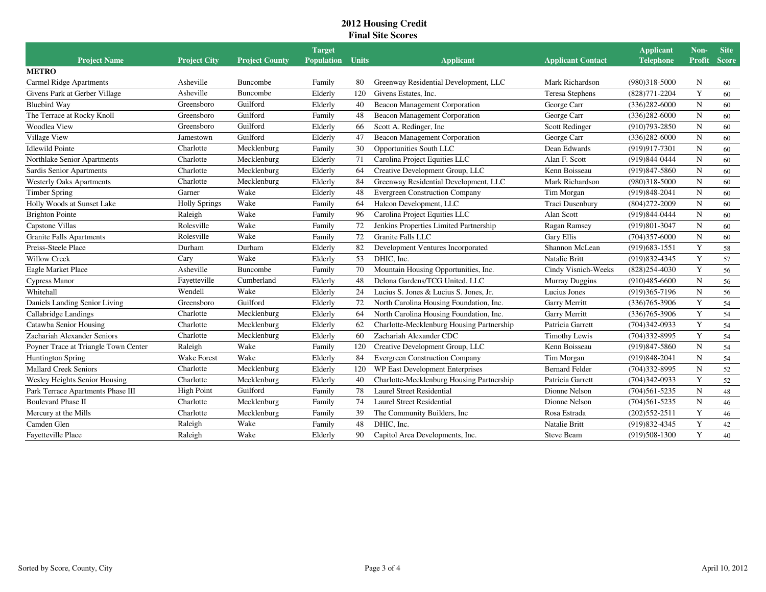|                                      |                      |                       | <b>Target</b>           |     |                                           |                          | <b>Applicant</b>  | Non-        | <b>Site</b>  |
|--------------------------------------|----------------------|-----------------------|-------------------------|-----|-------------------------------------------|--------------------------|-------------------|-------------|--------------|
| <b>Project Name</b>                  | <b>Project City</b>  | <b>Project County</b> | <b>Population</b> Units |     | <b>Applicant</b>                          | <b>Applicant Contact</b> | <b>Telephone</b>  | Profit      | <b>Score</b> |
| <b>METRO</b>                         |                      |                       |                         |     |                                           |                          |                   |             |              |
| <b>Carmel Ridge Apartments</b>       | Asheville            | Buncombe              | Family                  | 80  | Greenway Residential Development, LLC     | Mark Richardson          | $(980)318 - 5000$ | N           | 60           |
| Givens Park at Gerber Village        | Asheville            | Buncombe              | Elderly                 | 120 | Givens Estates, Inc.                      | Teresa Stephens          | $(828)771 - 2204$ | Y           | 60           |
| <b>Bluebird Way</b>                  | Greensboro           | Guilford              | Elderly                 | 40  | <b>Beacon Management Corporation</b>      | George Carr              | $(336)282 - 6000$ | N           | 60           |
| The Terrace at Rocky Knoll           | Greensboro           | Guilford              | Family                  | 48  | <b>Beacon Management Corporation</b>      | George Carr              | $(336)282 - 6000$ | N           | 60           |
| <b>Woodlea View</b>                  | Greensboro           | Guilford              | Elderly                 | 66  | Scott A. Redinger, Inc.                   | Scott Redinger           | $(910)793 - 2850$ | N           | 60           |
| Village View                         | Jamestown            | Guilford              | Elderly                 | 47  | Beacon Management Corporation             | George Carr              | $(336)282 - 6000$ | N           | 60           |
| <b>Idlewild Pointe</b>               | Charlotte            | Mecklenburg           | Family                  | 30  | Opportunities South LLC                   | Dean Edwards             | (919)917-7301     | N           | 60           |
| Northlake Senior Apartments          | Charlotte            | Mecklenburg           | Elderly                 | 71  | Carolina Project Equities LLC             | Alan F. Scott            | (919) 844-0444    | N           | 60           |
| Sardis Senior Apartments             | Charlotte            | Mecklenburg           | Elderly                 | 64  | Creative Development Group, LLC           | Kenn Boisseau            | $(919)847 - 5860$ | N           | 60           |
| <b>Westerly Oaks Apartments</b>      | Charlotte            | Mecklenburg           | Elderly                 | 84  | Greenway Residential Development, LLC     | Mark Richardson          | $(980)318 - 5000$ | N           | 60           |
| <b>Timber Spring</b>                 | Garner               | Wake                  | Elderly                 | 48  | <b>Evergreen Construction Company</b>     | Tim Morgan               | $(919)848-2041$   | N           | 60           |
| Holly Woods at Sunset Lake           | <b>Holly Springs</b> | Wake                  | Family                  | -64 | Halcon Development, LLC                   | <b>Traci Dusenbury</b>   | $(804)272 - 2009$ | N           | 60           |
| <b>Brighton Pointe</b>               | Raleigh              | Wake                  | Family                  | 96  | Carolina Project Equities LLC             | Alan Scott               | (919) 844-0444    | ${\bf N}$   | 60           |
| Capstone Villas                      | Rolesville           | Wake                  | Family                  | 72  | Jenkins Properties Limited Partnership    | Ragan Ramsey             | (919) 801-3047    | $\mathbf N$ | 60           |
| <b>Granite Falls Apartments</b>      | Rolesville           | Wake                  | Family                  | 72  | Granite Falls LLC                         | <b>Gary Ellis</b>        | $(704)357 - 6000$ | N           | 60           |
| Preiss-Steele Place                  | Durham               | Durham                | Elderly                 | 82  | Development Ventures Incorporated         | Shannon McLean           | $(919)683 - 1551$ | Y           | 58           |
| <b>Willow Creek</b>                  | Cary                 | Wake                  | Elderly                 | 53  | DHIC. Inc.                                | Natalie Britt            | (919) 832-4345    | Y           | 57           |
| Eagle Market Place                   | Asheville            | Buncombe              | Family                  | 70  | Mountain Housing Opportunities, Inc.      | Cindy Visnich-Weeks      | $(828)254-4030$   | Y           | 56           |
| Cypress Manor                        | Fayetteville         | Cumberland            | Elderly                 | 48  | Delona Gardens/TCG United, LLC            | Murray Duggins           | $(910)485 - 6600$ | N           | 56           |
| Whitehall                            | Wendell              | Wake                  | Elderly                 | 24  | Lucius S. Jones & Lucius S. Jones, Jr.    | Lucius Jones             | $(919)365 - 7196$ | ${\bf N}$   | 56           |
| Daniels Landing Senior Living        | Greensboro           | Guilford              | Elderly                 | 72  | North Carolina Housing Foundation, Inc.   | Garry Merritt            | $(336)765 - 3906$ | Y           | 54           |
| Callabridge Landings                 | Charlotte            | Mecklenburg           | Elderly                 | 64  | North Carolina Housing Foundation, Inc.   | Garry Merritt            | $(336)765 - 3906$ | Y           | 54           |
| Catawba Senior Housing               | Charlotte            | Mecklenburg           | Elderly                 | 62  | Charlotte-Mecklenburg Housing Partnership | Patricia Garrett         | $(704)342-0933$   | Y           | 54           |
| Zachariah Alexander Seniors          | Charlotte            | Mecklenburg           | Elderly                 | 60  | Zachariah Alexander CDC                   | <b>Timothy Lewis</b>     | (704)332-8995     | Y           | 54           |
| Poyner Trace at Triangle Town Center | Raleigh              | Wake                  | Family                  | 120 | Creative Development Group, LLC           | Kenn Boisseau            | $(919)847 - 5860$ | N           | 54           |
| <b>Huntington Spring</b>             | <b>Wake Forest</b>   | Wake                  | Elderly                 | 84  | <b>Evergreen Construction Company</b>     | Tim Morgan               | $(919)848 - 2041$ | N           | 54           |
| <b>Mallard Creek Seniors</b>         | Charlotte            | Mecklenburg           | Elderly                 | 120 | WP East Development Enterprises           | <b>Bernard Felder</b>    | $(704)332 - 8995$ | N           | 52           |
| Wesley Heights Senior Housing        | Charlotte            | Mecklenburg           | Elderly                 | 40  | Charlotte-Mecklenburg Housing Partnership | Patricia Garrett         | $(704)342-0933$   | Y           | 52           |
| Park Terrace Apartments Phase III    | <b>High Point</b>    | Guilford              | Family                  | 78  | Laurel Street Residential                 | Dionne Nelson            | $(704)561 - 5235$ | N           | 48           |
| <b>Boulevard Phase II</b>            | Charlotte            | Mecklenburg           | Family                  | 74  | <b>Laurel Street Residential</b>          | Dionne Nelson            | $(704)561 - 5235$ | $\mathbf N$ | 46           |
| Mercury at the Mills                 | Charlotte            | Mecklenburg           | Family                  | 39  | The Community Builders, Inc.              | Rosa Estrada             | $(202)552 - 2511$ | Y           | 46           |
| Camden Glen                          | Raleigh              | Wake                  | Family                  | 48  | DHIC, Inc.                                | Natalie Britt            | (919) 832-4345    | Y           | 42           |
| Fayetteville Place                   | Raleigh              | Wake                  | Elderly                 | 90  | Capitol Area Developments, Inc.           | <b>Steve Beam</b>        | $(919)508-1300$   | Y           | 40           |
|                                      |                      |                       |                         |     |                                           |                          |                   |             |              |